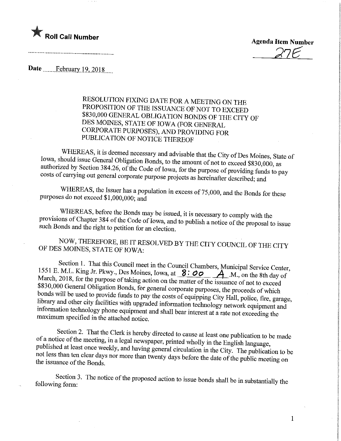

27E

 $\mathbf{1}$ 

Date February 19, 2018

RESOLUTION FIXING DATE FOR A MEETING ON THE PROPOSITION OF THE ISSUANCE OF NOT TO EXCEED \$830,000 GENERAL OBLIGATION BONDS OF THE CITY OF DES MOINES, STATE OF IOWA (FOR GENERAL CORPORATE PURPOSES), AND PROVIDING FOR **CORPORATION OF MOTION THE PURPOSES** PUBLICATION OF NOTICE THEREOF

WHEREAS, it is deemed necessary and advisable that the City of Des Moines, State of Iowa, should issue General Obligation Bonds, to the amount of not to exceed \$830,000, as authorized by Section 384.26, of the Code of Iowa, for the purpose of providing funds to pay  $\alpha$  as a section  $\alpha$  and  $\alpha$  of the contract of  $\alpha$ , or the code of  $\alpha$  providing funds to pay  $\epsilon$  costs of carrying purpose projects as hereinafter described; and

WHEREAS, the Issuer has a population in excess of 75,000, and the Bonds for these

purposes do not exceed \$1,000,000; and<br>WHEREAS, before the Bonds may be issued, it is necessary to comply with the  $\mathcal{B}$  of Chapter 384 of the Code of January behaviors, it is necessary to comply with the ich Bonds and the right to petition for an algebra.  $\omega$  publish a notice of the proposal to issue such Bonds and the right to petition for an election.

NOW, THEREFORE, BE IT RESOLVED BY THE CITY COUNCIL OF THE CITY OF DES MOINES, STATE OF IOWA:

Section 1. That this Council meet in the Council Chambers, Municipal Service Center, 1551 E. M.L. King Jr. Pkwy., Des Moines, Iowa, at  $\frac{8:00}{8}$   $\frac{4}{1}$  M., on the 8th day of March, 2018, for the purpose of taking action on the matter of the issuance of not to exceed \$830,000 General Obligation Bonds, for general corporate purposes, the proceeds of which bonds will be used to provide funds to pay the costs of equipping City Hall, police, fire, garage, library and other city facilities with upgraded information technology network equipment and  $\delta$  correction facilities with  $\delta$  and  $\delta$  is the upgrade information technology network equipment and  $\alpha$  in the extended point  $\alpha$  is shall bear interest at a rate not exceeding the maximum specified in the attached notice.

Section 2. That the Clerk is hereby directed to cause at least one publication to be made of a notice of the meeting, in a legal newspaper, printed wholly in the English language, published at least once weekly, and having general circulation in the City. The publication to be  $\mu$  less than ten clear days nor more than two set on the day in the City. The publication to be issuance of the Bonds

Section 3. The notice of the proposed action to issue bonds shall be in substantially the following form: following fomi: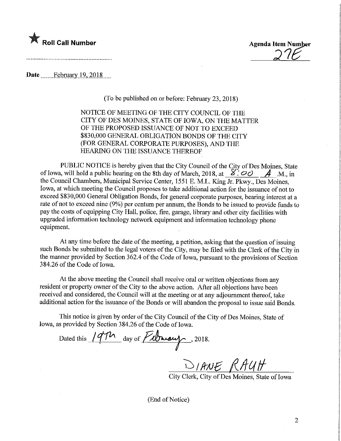

. A construction of the construction of the construction of the construction of the construction of the construction of the construction of the construction of the construction of the construction of the construction of th

Date....... Jebmary.19,2018,

(To be published on or before: February 23, 2018)

NOTICE OF MEETING OF THE CITY COUNCIL OF THE CITY OF DES MOINES, STATE OF IOWA, ON THE MATTER OF THE PROPOSED ISSUANCE OF NOT TO EXCEED \$830,000 GENERAL OBLIGATION BONDS OF THE CITY (FOR GENERAL CORPORATE PURPOSES), AND THE HEARING ON THE ISSUANCE THEREOF

PUBLIC NOTICE is hereby given that the City Council of the City of Des Moines, State of Iowa, will hold a public hearing on the 8th day of March, 2018, at  $8.8^\circ \text{°}$   $\mathcal{A}$  -M., in the Council Chambers, Municipal Service Center, 1551 E. M.L. King Jr. Pkwy., Des Moines, Iowa, at which meeting the Council proposes to take additional action for the issuance of not to exceed \$830,000 General Obligation Bonds, for general corporate purposes, bearing interest at a rate of not to exceed nine (9%) per centum per annum, the Bonds to be issued to provide funds to pay the costs of equipping City Hall, police, fire, garage, library and other city facilities with upgraded information technology network equipment and information technology phone equipment.

At any time before the date of the meeting, a petition, asking that the question of issuing such Bonds be submitted to the legal voters of the City, may be filed with the Clerk of the City in the manner provided by Section 362.4 of the Code of Iowa, pursuant to the provisions of Section 384.26 of the Code of Iowa.

At the above meeting the Council shall receive oral or written objections from any resident or property owner of the City to the above action. After all objections have been received and considered, the Council will at the meeting or at any adjournment thereof, take additional action for the issuance of the Bonds or will abandon the proposal to issue said Bonds.

This notice is given by order of the City Council of the City of Des Moines, State of Iowa, as provided by Section 384.26 of the Code of Iowa.

Dated this  $/4\pi$  day of  $F$   $b$  may 1. 2018.

DIANE RAUH

City Clerk, City of Des Moines, State of Iowa

(End of Notice)